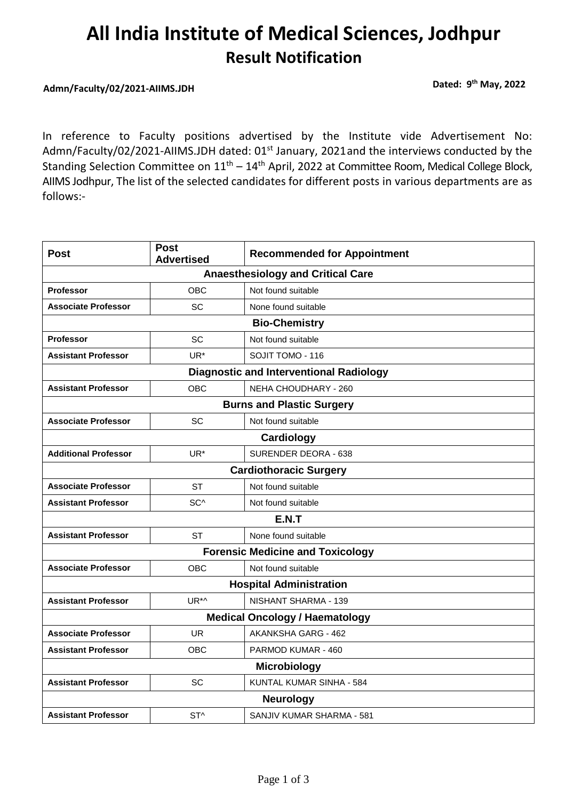# **All India Institute of Medical Sciences, Jodhpur Result Notification**

### **Dated: 9th May, 2022 Admn/Faculty/02/2021-AIIMS.JDH**

In reference to Faculty positions advertised by the Institute vide Advertisement No: Admn/Faculty/02/2021-AIIMS.JDH dated: 01<sup>st</sup> January, 2021and the interviews conducted by the Standing Selection Committee on  $11^{\text{th}} - 14^{\text{th}}$  April, 2022 at Committee Room, Medical College Block, AIIMS Jodhpur, The list of the selected candidates for different posts in various departments are as follows:-

| <b>Post</b>                                    | <b>Post</b><br><b>Advertised</b> | <b>Recommended for Appointment</b> |  |  |
|------------------------------------------------|----------------------------------|------------------------------------|--|--|
| <b>Anaesthesiology and Critical Care</b>       |                                  |                                    |  |  |
| <b>Professor</b>                               | <b>OBC</b>                       | Not found suitable                 |  |  |
| <b>Associate Professor</b>                     | SC                               | None found suitable                |  |  |
| <b>Bio-Chemistry</b>                           |                                  |                                    |  |  |
| <b>Professor</b>                               | SC                               | Not found suitable                 |  |  |
| <b>Assistant Professor</b>                     | UR*                              | SOJIT TOMO - 116                   |  |  |
| <b>Diagnostic and Interventional Radiology</b> |                                  |                                    |  |  |
| <b>Assistant Professor</b>                     | <b>OBC</b>                       | NEHA CHOUDHARY - 260               |  |  |
| <b>Burns and Plastic Surgery</b>               |                                  |                                    |  |  |
| <b>Associate Professor</b>                     | SC                               | Not found suitable                 |  |  |
| Cardiology                                     |                                  |                                    |  |  |
| <b>Additional Professor</b>                    | UR*                              | SURENDER DEORA - 638               |  |  |
| <b>Cardiothoracic Surgery</b>                  |                                  |                                    |  |  |
| <b>Associate Professor</b>                     | <b>ST</b>                        | Not found suitable                 |  |  |
| <b>Assistant Professor</b>                     | SC <sup>^</sup>                  | Not found suitable                 |  |  |
|                                                |                                  | E.N.T                              |  |  |
| <b>Assistant Professor</b>                     | <b>ST</b>                        | None found suitable                |  |  |
| <b>Forensic Medicine and Toxicology</b>        |                                  |                                    |  |  |
| <b>Associate Professor</b>                     | <b>OBC</b>                       | Not found suitable                 |  |  |
| <b>Hospital Administration</b>                 |                                  |                                    |  |  |
| <b>Assistant Professor</b>                     | UR <sup>*</sup>                  | NISHANT SHARMA - 139               |  |  |
| <b>Medical Oncology / Haematology</b>          |                                  |                                    |  |  |
| <b>Associate Professor</b>                     | <b>UR</b>                        | AKANKSHA GARG - 462                |  |  |
| <b>Assistant Professor</b>                     | <b>OBC</b>                       | PARMOD KUMAR - 460                 |  |  |
| <b>Microbiology</b>                            |                                  |                                    |  |  |
| <b>Assistant Professor</b>                     | SC                               | KUNTAL KUMAR SINHA - 584           |  |  |
| <b>Neurology</b>                               |                                  |                                    |  |  |
| <b>Assistant Professor</b>                     | ST^                              | SANJIV KUMAR SHARMA - 581          |  |  |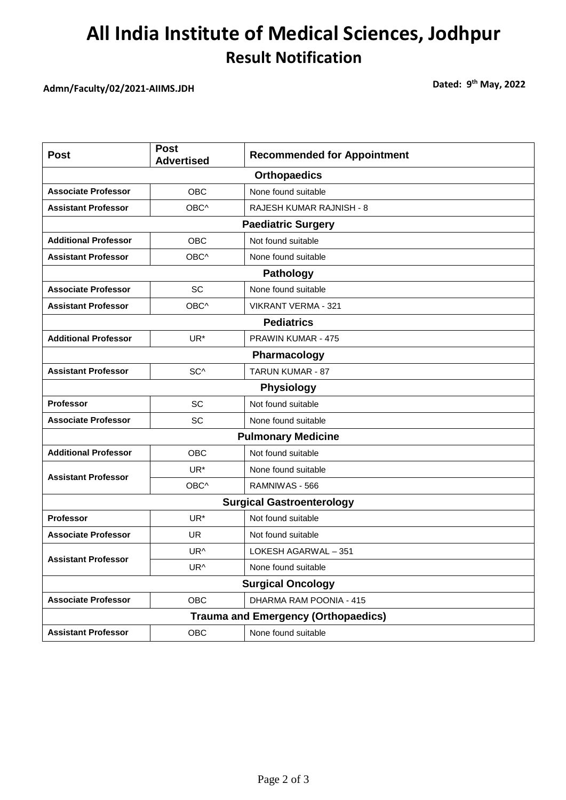# **All India Institute of Medical Sciences, Jodhpur Result Notification**

### **Dated: 9th May, 2022 Admn/Faculty/02/2021-AIIMS.JDH**

| <b>Post</b>                                | <b>Post</b><br><b>Advertised</b> | <b>Recommended for Appointment</b> |  |  |
|--------------------------------------------|----------------------------------|------------------------------------|--|--|
| <b>Orthopaedics</b>                        |                                  |                                    |  |  |
| <b>Associate Professor</b>                 | <b>OBC</b>                       | None found suitable                |  |  |
| <b>Assistant Professor</b>                 | OBC^                             | RAJESH KUMAR RAJNISH - 8           |  |  |
| <b>Paediatric Surgery</b>                  |                                  |                                    |  |  |
| <b>Additional Professor</b>                | <b>OBC</b>                       | Not found suitable                 |  |  |
| <b>Assistant Professor</b>                 | OBC^                             | None found suitable                |  |  |
| Pathology                                  |                                  |                                    |  |  |
| <b>Associate Professor</b>                 | SC                               | None found suitable                |  |  |
| <b>Assistant Professor</b>                 | OBC^                             | <b>VIKRANT VERMA - 321</b>         |  |  |
| <b>Pediatrics</b>                          |                                  |                                    |  |  |
| <b>Additional Professor</b>                | UR*                              | PRAWIN KUMAR - 475                 |  |  |
| Pharmacology                               |                                  |                                    |  |  |
| <b>Assistant Professor</b>                 | SC^                              | TARUN KUMAR - 87                   |  |  |
|                                            |                                  | Physiology                         |  |  |
| <b>Professor</b>                           | SC                               | Not found suitable                 |  |  |
| <b>Associate Professor</b>                 | SC                               | None found suitable                |  |  |
|                                            |                                  | <b>Pulmonary Medicine</b>          |  |  |
| <b>Additional Professor</b>                | <b>OBC</b>                       | Not found suitable                 |  |  |
| <b>Assistant Professor</b>                 | UR*                              | None found suitable                |  |  |
|                                            | OBC^                             | RAMNIWAS - 566                     |  |  |
| <b>Surgical Gastroenterology</b>           |                                  |                                    |  |  |
| Professor                                  | UR*                              | Not found suitable                 |  |  |
| <b>Associate Professor</b>                 | <b>UR</b>                        | Not found suitable                 |  |  |
| <b>Assistant Professor</b>                 | UR <sup>^</sup>                  | LOKESH AGARWAL - 351               |  |  |
|                                            | UR^                              | None found suitable                |  |  |
| <b>Surgical Oncology</b>                   |                                  |                                    |  |  |
| <b>Associate Professor</b>                 | OBC                              | DHARMA RAM POONIA - 415            |  |  |
| <b>Trauma and Emergency (Orthopaedics)</b> |                                  |                                    |  |  |
| <b>Assistant Professor</b>                 | OBC                              | None found suitable                |  |  |